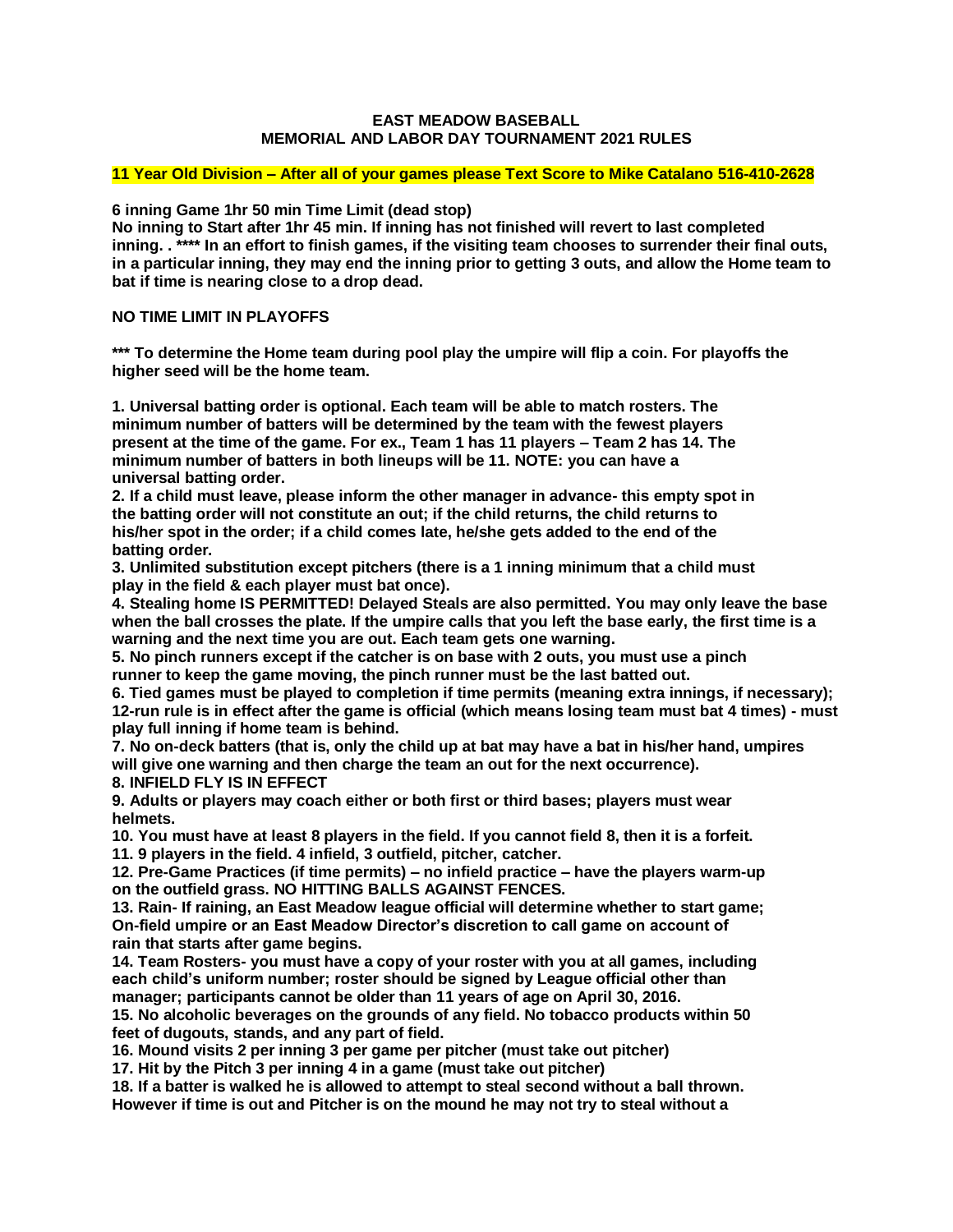#### **EAST MEADOW BASEBALL MEMORIAL AND LABOR DAY TOURNAMENT 2021 RULES**

### **11 Year Old Division – After all of your games please Text Score to Mike Catalano 516-410-2628**

**6 inning Game 1hr 50 min Time Limit (dead stop)**

**No inning to Start after 1hr 45 min. If inning has not finished will revert to last completed inning. . \*\*\*\* In an effort to finish games, if the visiting team chooses to surrender their final outs, in a particular inning, they may end the inning prior to getting 3 outs, and allow the Home team to bat if time is nearing close to a drop dead.** 

## **NO TIME LIMIT IN PLAYOFFS**

**\*\*\* To determine the Home team during pool play the umpire will flip a coin. For playoffs the higher seed will be the home team.** 

**1. Universal batting order is optional. Each team will be able to match rosters. The minimum number of batters will be determined by the team with the fewest players present at the time of the game. For ex., Team 1 has 11 players – Team 2 has 14. The minimum number of batters in both lineups will be 11. NOTE: you can have a universal batting order.**

**2. If a child must leave, please inform the other manager in advance- this empty spot in the batting order will not constitute an out; if the child returns, the child returns to his/her spot in the order; if a child comes late, he/she gets added to the end of the batting order.** 

**3. Unlimited substitution except pitchers (there is a 1 inning minimum that a child must play in the field & each player must bat once).**

**4. Stealing home IS PERMITTED! Delayed Steals are also permitted. You may only leave the base when the ball crosses the plate. If the umpire calls that you left the base early, the first time is a warning and the next time you are out. Each team gets one warning.** 

**5. No pinch runners except if the catcher is on base with 2 outs, you must use a pinch runner to keep the game moving, the pinch runner must be the last batted out.**

**6. Tied games must be played to completion if time permits (meaning extra innings, if necessary); 12-run rule is in effect after the game is official (which means losing team must bat 4 times) - must play full inning if home team is behind.**

**7. No on-deck batters (that is, only the child up at bat may have a bat in his/her hand, umpires will give one warning and then charge the team an out for the next occurrence).**

**8. INFIELD FLY IS IN EFFECT**

**9. Adults or players may coach either or both first or third bases; players must wear helmets.**

**10. You must have at least 8 players in the field. If you cannot field 8, then it is a forfeit.**

**11. 9 players in the field. 4 infield, 3 outfield, pitcher, catcher.**

**12. Pre-Game Practices (if time permits) – no infield practice – have the players warm-up on the outfield grass. NO HITTING BALLS AGAINST FENCES.**

**13. Rain- If raining, an East Meadow league official will determine whether to start game; On-field umpire or an East Meadow Director's discretion to call game on account of rain that starts after game begins.**

**14. Team Rosters- you must have a copy of your roster with you at all games, including each child's uniform number; roster should be signed by League official other than manager; participants cannot be older than 11 years of age on April 30, 2016.**

**15. No alcoholic beverages on the grounds of any field. No tobacco products within 50 feet of dugouts, stands, and any part of field.**

**16. Mound visits 2 per inning 3 per game per pitcher (must take out pitcher)**

**17. Hit by the Pitch 3 per inning 4 in a game (must take out pitcher)**

**18. If a batter is walked he is allowed to attempt to steal second without a ball thrown. However if time is out and Pitcher is on the mound he may not try to steal without a**